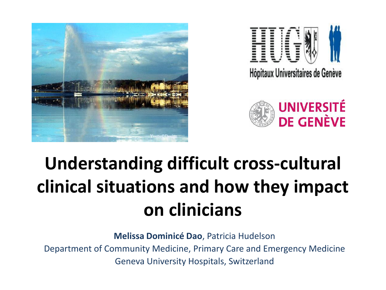





#### **Understanding difficult cross-cultural clinical situations and how they impact on clinicians**

**Melissa Dominicé Dao**, Patricia Hudelson Department of Community Medicine, Primary Care and Emergency Medicine Geneva University Hospitals, Switzerland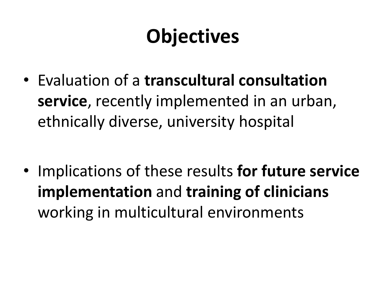#### **Objectives**

• Evaluation of a **transcultural consultation service**, recently implemented in an urban, ethnically diverse, university hospital

• Implications of these results **for future service implementation** and **training of clinicians** working in multicultural environments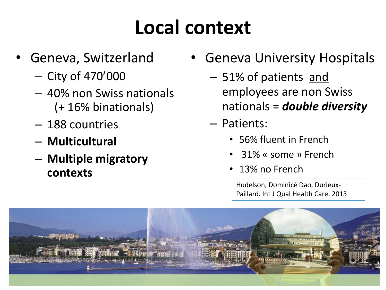#### **Local context**

- Geneva, Switzerland
	- City of 470'000
	- 40% non Swiss nationals (+ 16% binationals)
	- 188 countries
	- **Multicultural**
	- **Multiple migratory contexts**
- Geneva University Hospitals
	- 51% of patients and employees are non Swiss nationals = *double diversity*
	- Patients:
		- 56% fluent in French
		- 31% « some » French
		- 13% no French

Hudelson, Dominicé Dao, Durieux-Paillard. Int J Qual Health Care. 2013

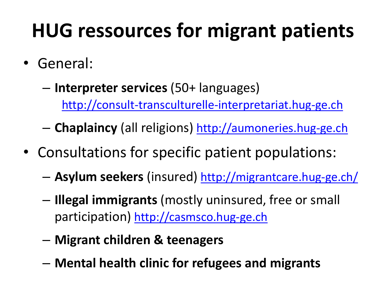#### **HUG ressources for migrant patients**

- General:
	- **Interpreter services** (50+ languages) [http://consult-transculturelle-interpretariat.hug-ge.ch](http://consult-transculturelle-interpretariat.hug-ge.ch/)

– **Chaplaincy** (all religions) [http://aumoneries.hug-ge.ch](http://aumoneries.hug-ge.ch/)

- Consultations for specific patient populations:
	- **Asylum seekers** (insured) <http://migrantcare.hug-ge.ch/>
	- **Illegal immigrants** (mostly uninsured, free or small participation) [http://casmsco.hug-ge.ch](http://casmsco.hug-ge.ch/)
	- **Migrant children & teenagers**
	- **Mental health clinic for refugees and migrants**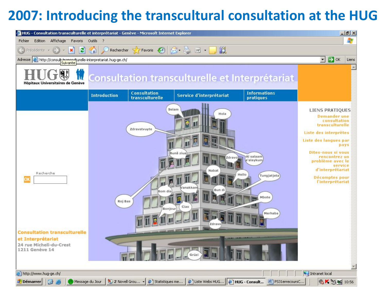#### **2007: Introducing the transcultural consultation at the HUG**

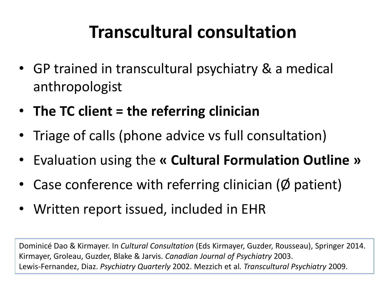#### **Transcultural consultation**

- GP trained in transcultural psychiatry & a medical anthropologist
- **The TC client = the referring clinician**
- Triage of calls (phone advice vs full consultation)
- Evaluation using the **« Cultural Formulation Outline »**
- Case conference with referring clinician ( $\emptyset$  patient)
- Written report issued, included in EHR

Dominicé Dao & Kirmayer. In *Cultural Consultation* (Eds Kirmayer, Guzder, Rousseau), Springer 2014. Kirmayer, Groleau, Guzder, Blake & Jarvis. *Canadian Journal of Psychiatry* 2003. Lewis-Fernandez, Diaz. *Psychiatry Quarterly* 2002. Mezzich et al*. Transcultural Psychiatry* 2009.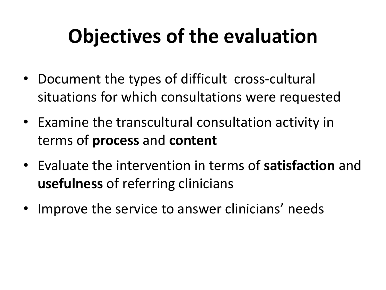## **Objectives of the evaluation**

- Document the types of difficult cross-cultural situations for which consultations were requested
- Examine the transcultural consultation activity in terms of **process** and **content**
- Evaluate the intervention in terms of **satisfaction** and **usefulness** of referring clinicians
- Improve the service to answer clinicians' needs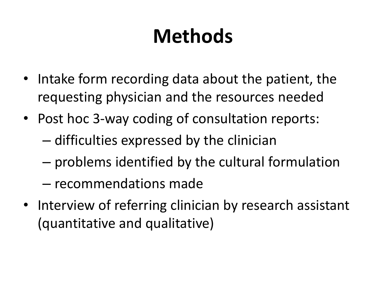## **Methods**

- Intake form recording data about the patient, the requesting physician and the resources needed
- Post hoc 3-way coding of consultation reports: – difficulties expressed by the clinician
	- problems identified by the cultural formulation
	- recommendations made
- Interview of referring clinician by research assistant (quantitative and qualitative)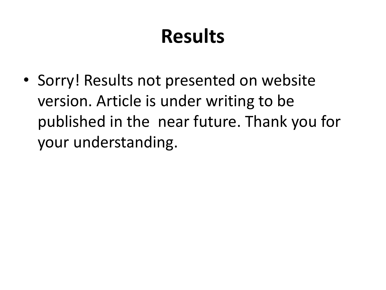#### **Results**

• Sorry! Results not presented on website version. Article is under writing to be published in the near future. Thank you for your understanding.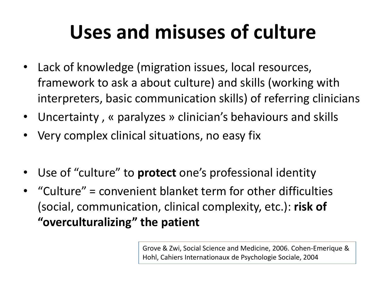#### **Uses and misuses of culture**

- Lack of knowledge (migration issues, local resources, framework to ask a about culture) and skills (working with interpreters, basic communication skills) of referring clinicians
- Uncertainty , « paralyzes » clinician's behaviours and skills
- Very complex clinical situations, no easy fix
- Use of "culture" to **protect** one's professional identity
- "Culture" = convenient blanket term for other difficulties (social, communication, clinical complexity, etc.): **risk of "overculturalizing" the patient**

Grove & Zwi, Social Science and Medicine, 2006. Cohen-Emerique & Hohl, Cahiers Internationaux de Psychologie Sociale, 2004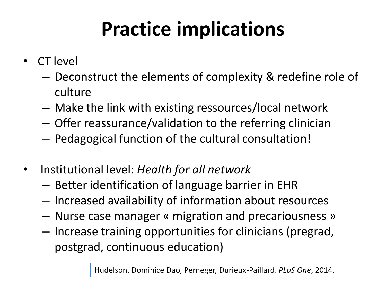## **Practice implications**

- CT level
	- Deconstruct the elements of complexity & redefine role of culture
	- Make the link with existing ressources/local network
	- Offer reassurance/validation to the referring clinician
	- Pedagogical function of the cultural consultation!
- Institutional level: *Health for all network*
	- Better identification of language barrier in EHR
	- Increased availability of information about resources
	- Nurse case manager « migration and precariousness »
	- Increase training opportunities for clinicians (pregrad, postgrad, continuous education)

Hudelson, Dominice Dao, Perneger, Durieux-Paillard. *PLoS One*, 2014.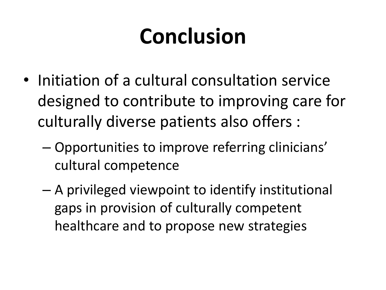# **Conclusion**

- Initiation of a cultural consultation service designed to contribute to improving care for culturally diverse patients also offers :
	- Opportunities to improve referring clinicians' cultural competence
	- A privileged viewpoint to identify institutional gaps in provision of culturally competent healthcare and to propose new strategies